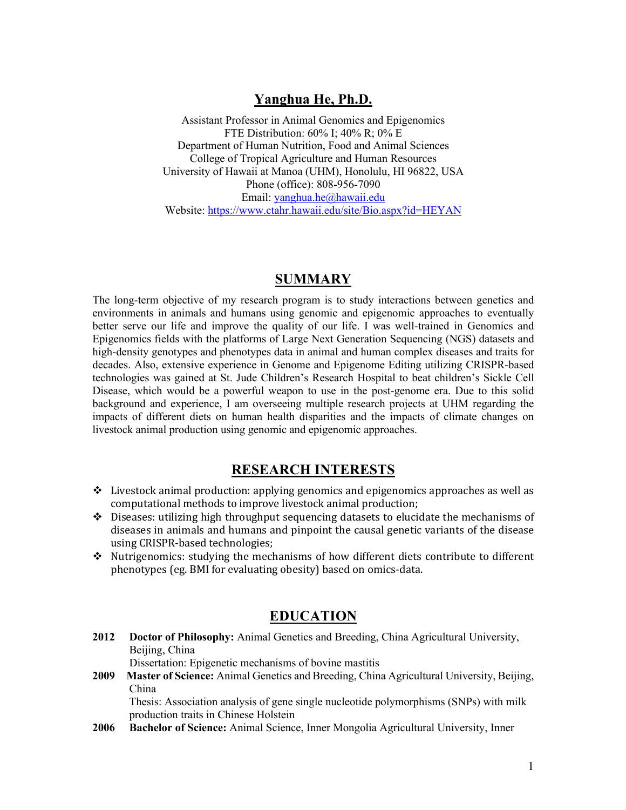# **Yanghua He, Ph.D.**

Assistant Professor in Animal Genomics and Epigenomics FTE Distribution: 60% I; 40% R; 0% E Department of Human Nutrition, Food and Animal Sciences College of Tropical Agriculture and Human Resources University of Hawaii at Manoa (UHM), Honolulu, HI 96822, USA Phone (office): 808-956-7090 Email: yanghua.he@hawaii.edu Website: https://www.ctahr.hawaii.edu/site/Bio.aspx?id=HEYAN

## **SUMMARY**

The long-term objective of my research program is to study interactions between genetics and environments in animals and humans using genomic and epigenomic approaches to eventually better serve our life and improve the quality of our life. I was well-trained in Genomics and Epigenomics fields with the platforms of Large Next Generation Sequencing (NGS) datasets and high-density genotypes and phenotypes data in animal and human complex diseases and traits for decades. Also, extensive experience in Genome and Epigenome Editing utilizing CRISPR-based technologies was gained at St. Jude Children's Research Hospital to beat children's Sickle Cell Disease, which would be a powerful weapon to use in the post-genome era. Due to this solid background and experience, I am overseeing multiple research projects at UHM regarding the impacts of different diets on human health disparities and the impacts of climate changes on livestock animal production using genomic and epigenomic approaches.

# **RESEARCH INTERESTS**

- $\div$  Livestock animal production: applying genomics and epigenomics approaches as well as computational methods to improve livestock animal production;
- $\div$  Diseases: utilizing high throughput sequencing datasets to elucidate the mechanisms of diseases in animals and humans and pinpoint the causal genetic variants of the disease using CRISPR-based technologies;
- $\cdot$  Nutrigenomics: studying the mechanisms of how different diets contribute to different phenotypes (eg. BMI for evaluating obesity) based on omics-data.

## **EDUCATION**

**2012 Doctor of Philosophy:** Animal Genetics and Breeding, China Agricultural University, Beijing, China

Dissertation: Epigenetic mechanisms of bovine mastitis

**2009 Master of Science:** Animal Genetics and Breeding, China Agricultural University, Beijing, China

Thesis: Association analysis of gene single nucleotide polymorphisms (SNPs) with milk production traits in Chinese Holstein

**2006 Bachelor of Science:** Animal Science, Inner Mongolia Agricultural University, Inner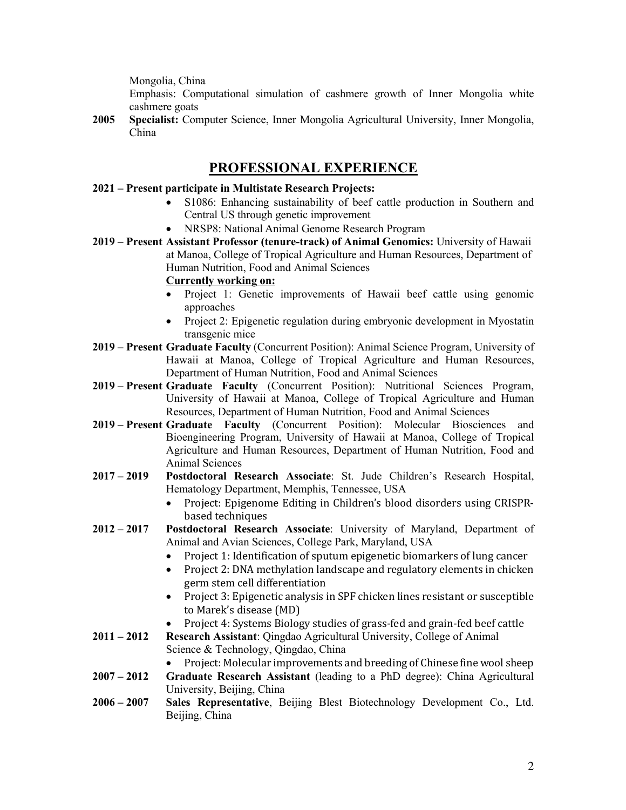Mongolia, China

Emphasis: Computational simulation of cashmere growth of Inner Mongolia white cashmere goats

**2005 Specialist:** Computer Science, Inner Mongolia Agricultural University, Inner Mongolia, China

## **PROFESSIONAL EXPERIENCE**

- **2021 – Present participate in Multistate Research Projects:**
	- S1086: Enhancing sustainability of beef cattle production in Southern and Central US through genetic improvement
	- NRSP8: National Animal Genome Research Program
- **2019 – Present Assistant Professor (tenure-track) of Animal Genomics:** University of Hawaii at Manoa, College of Tropical Agriculture and Human Resources, Department of Human Nutrition, Food and Animal Sciences

### **Currently working on:**

- Project 1: Genetic improvements of Hawaii beef cattle using genomic approaches
- Project 2: Epigenetic regulation during embryonic development in Myostatin transgenic mice
- **2019 – Present Graduate Faculty** (Concurrent Position): Animal Science Program, University of Hawaii at Manoa, College of Tropical Agriculture and Human Resources, Department of Human Nutrition, Food and Animal Sciences
- **2019 – Present Graduate Faculty** (Concurrent Position): Nutritional Sciences Program, University of Hawaii at Manoa, College of Tropical Agriculture and Human Resources, Department of Human Nutrition, Food and Animal Sciences
- **2019 – Present Graduate Faculty** (Concurrent Position): Molecular Biosciences and Bioengineering Program, University of Hawaii at Manoa, College of Tropical Agriculture and Human Resources, Department of Human Nutrition, Food and Animal Sciences
- **2017 – 2019 Postdoctoral Research Associate**: St. Jude Children's Research Hospital, Hematology Department, Memphis, Tennessee, USA
	- Project: Epigenome Editing in Children's blood disorders using CRISPRbased techniques
- **2012 – 2017 Postdoctoral Research Associate**: University of Maryland, Department of Animal and Avian Sciences, College Park, Maryland, USA
	- Project 1: Identification of sputum epigenetic biomarkers of lung cancer
	- Project 2: DNA methylation landscape and regulatory elements in chicken germ stem cell differentiation
	- Project 3: Epigenetic analysis in SPF chicken lines resistant or susceptible to Marek's disease (MD)
	- Project 4: Systems Biology studies of grass-fed and grain-fed beef cattle
- **2011 – 2012 Research Assistant**: Qingdao Agricultural University, College of Animal Science & Technology, Qingdao, China
	- Project: Molecular improvements and breeding of Chinese fine wool sheep
- **2007 – 2012 Graduate Research Assistant** (leading to a PhD degree): China Agricultural University, Beijing, China
- **2006 – 2007 Sales Representative**, Beijing Blest Biotechnology Development Co., Ltd. Beijing, China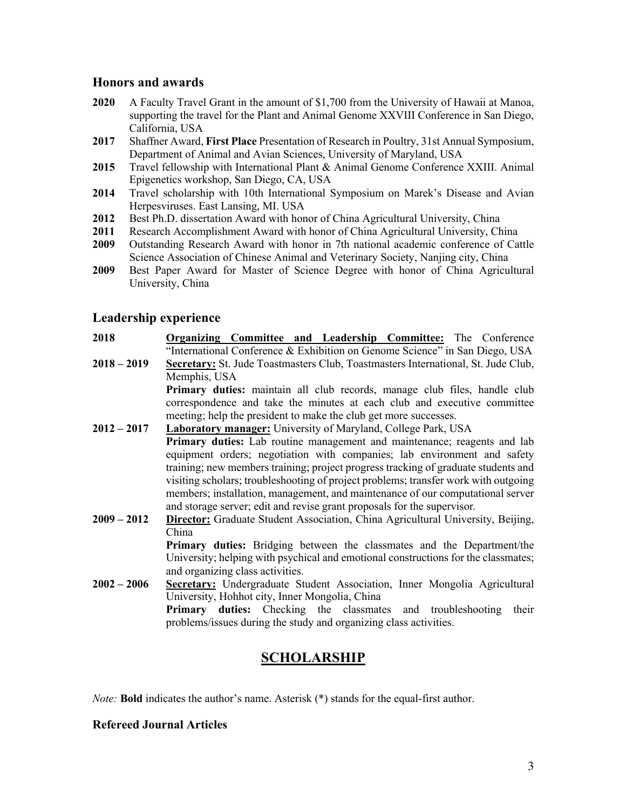## **Honors and awards**

- **2020** A Faculty Travel Grant in the amount of \$1,700 from the University of Hawaii at Manoa, supporting the travel for the Plant and Animal Genome XXVIII Conference in San Diego, California, USA
- **2017** Shaffner Award, **First Place** Presentation of Research in Poultry, 31st Annual Symposium, Department of Animal and Avian Sciences, University of Maryland, USA
- **2015** Travel fellowship with International Plant & Animal Genome Conference XXIII. Animal Epigenetics workshop, San Diego, CA, USA
- **2014** Travel scholarship with 10th International Symposium on Marek's Disease and Avian Herpesviruses. East Lansing, MI. USA
- **2012** Best Ph.D. dissertation Award with honor of China Agricultural University, China
- **2011** Research Accomplishment Award with honor of China Agricultural University, China
- **2009** Outstanding Research Award with honor in 7th national academic conference of Cattle Science Association of Chinese Animal and Veterinary Society, Nanjing city, China
- **2009** Best Paper Award for Master of Science Degree with honor of China Agricultural University, China

## **Leadership experience**

**2018 Organizing Committee and Leadership Committee:** The Conference "International Conference & Exhibition on Genome Science" in San Diego, USA **2018 – 2019 Secretary:** St. Jude Toastmasters Club, Toastmasters International, St. Jude Club, Memphis, USA

**Primary duties:** maintain all club records, manage club files, handle club correspondence and take the minutes at each club and executive committee meeting; help the president to make the club get more successes.

- **2012 – 2017 Laboratory manager:** University of Maryland, College Park, USA **Primary duties:** Lab routine management and maintenance; reagents and lab equipment orders; negotiation with companies; lab environment and safety training; new members training; project progress tracking of graduate students and visiting scholars; troubleshooting of project problems; transfer work with outgoing members; installation, management, and maintenance of our computational server and storage server; edit and revise grant proposals for the supervisor.
- **2009 – 2012 Director:** Graduate Student Association, China Agricultural University, Beijing, China

**Primary duties:** Bridging between the classmates and the Department/the University; helping with psychical and emotional constructions for the classmates; and organizing class activities.

**2002 – 2006 Secretary:** Undergraduate Student Association, Inner Mongolia Agricultural University, Hohhot city, Inner Mongolia, China **Primary duties:** Checking the classmates and troubleshooting their problems/issues during the study and organizing class activities.

# **SCHOLARSHIP**

*Note:* **Bold** indicates the author's name. Asterisk (\*) stands for the equal-first author.

## **Refereed Journal Articles**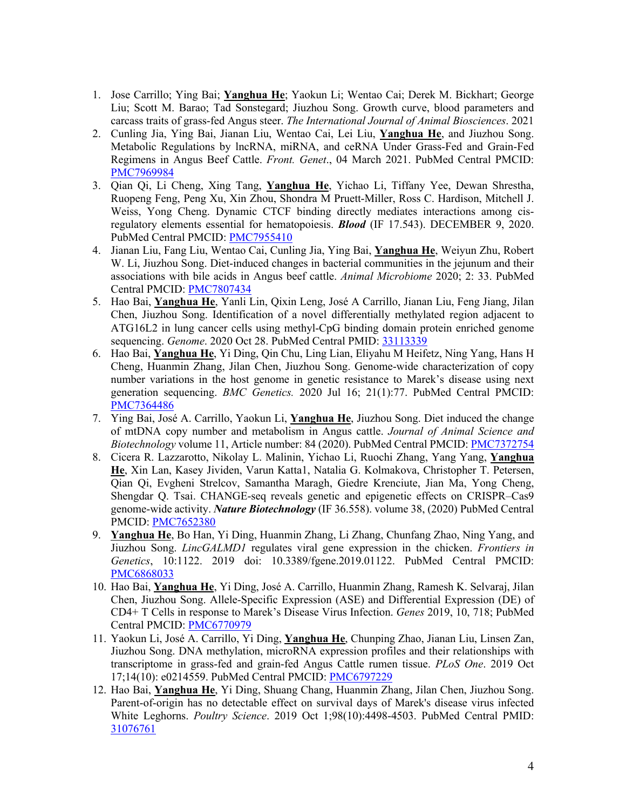- 1. Jose Carrillo; Ying Bai; **Yanghua He**; Yaokun Li; Wentao Cai; Derek M. Bickhart; George Liu; Scott M. Barao; Tad Sonstegard; Jiuzhou Song. Growth curve, blood parameters and carcass traits of grass-fed Angus steer. *The International Journal of Animal Biosciences*. 2021
- 2. Cunling Jia, Ying Bai, Jianan Liu, Wentao Cai, Lei Liu, **Yanghua He**, and Jiuzhou Song. Metabolic Regulations by lncRNA, miRNA, and ceRNA Under Grass-Fed and Grain-Fed Regimens in Angus Beef Cattle. *Front. Genet*., 04 March 2021. PubMed Central PMCID: PMC7969984
- 3. Qian Qi, Li Cheng, Xing Tang, **Yanghua He**, Yichao Li, Tiffany Yee, Dewan Shrestha, Ruopeng Feng, Peng Xu, Xin Zhou, Shondra M Pruett-Miller, Ross C. Hardison, Mitchell J. Weiss, Yong Cheng. Dynamic CTCF binding directly mediates interactions among cisregulatory elements essential for hematopoiesis. *Blood* (IF 17.543). DECEMBER 9, 2020. PubMed Central PMCID: PMC7955410
- 4. Jianan Liu, Fang Liu, Wentao Cai, Cunling Jia, Ying Bai, **Yanghua He**, Weiyun Zhu, Robert W. Li, Jiuzhou Song. Diet-induced changes in bacterial communities in the jejunum and their associations with bile acids in Angus beef cattle. *Animal Microbiome* 2020; 2: 33. PubMed Central PMCID: PMC7807434
- 5. Hao Bai, **Yanghua He**, Yanli Lin, Qixin Leng, José A Carrillo, Jianan Liu, Feng Jiang, Jilan Chen, Jiuzhou Song. Identification of a novel differentially methylated region adjacent to ATG16L2 in lung cancer cells using methyl-CpG binding domain protein enriched genome sequencing. *Genome*. 2020 Oct 28. PubMed Central PMID: 33113339
- 6. Hao Bai, **Yanghua He**, Yi Ding, Qin Chu, Ling Lian, Eliyahu M Heifetz, Ning Yang, Hans H Cheng, Huanmin Zhang, Jilan Chen, Jiuzhou Song. Genome-wide characterization of copy number variations in the host genome in genetic resistance to Marek's disease using next generation sequencing. *BMC Genetics.* 2020 Jul 16; 21(1):77. PubMed Central PMCID: PMC7364486
- 7. Ying Bai, José A. Carrillo, Yaokun Li, **Yanghua He**, Jiuzhou Song. Diet induced the change of mtDNA copy number and metabolism in Angus cattle. *Journal of Animal Science and Biotechnology* volume 11, Article number: 84 (2020). PubMed Central PMCID: PMC7372754
- 8. Cicera R. Lazzarotto, Nikolay L. Malinin, Yichao Li, Ruochi Zhang, Yang Yang, **Yanghua He**, Xin Lan, Kasey Jividen, Varun Katta1, Natalia G. Kolmakova, Christopher T. Petersen, Qian Qi, Evgheni Strelcov, Samantha Maragh, Giedre Krenciute, Jian Ma, Yong Cheng, Shengdar Q. Tsai. CHANGE-seq reveals genetic and epigenetic effects on CRISPR–Cas9 genome-wide activity. *Nature Biotechnology* (IF 36.558). volume 38, (2020) PubMed Central PMCID: PMC7652380
- 9. **Yanghua He**, Bo Han, Yi Ding, Huanmin Zhang, Li Zhang, Chunfang Zhao, Ning Yang, and Jiuzhou Song. *LincGALMD1* regulates viral gene expression in the chicken. *Frontiers in Genetics*, 10:1122. 2019 doi: 10.3389/fgene.2019.01122. PubMed Central PMCID: PMC6868033
- 10. Hao Bai, **Yanghua He**, Yi Ding, José A. Carrillo, Huanmin Zhang, Ramesh K. Selvaraj, Jilan Chen, Jiuzhou Song. Allele-Specific Expression (ASE) and Differential Expression (DE) of CD4+ T Cells in response to Marek's Disease Virus Infection. *Genes* 2019, 10, 718; PubMed Central PMCID: PMC6770979
- 11. Yaokun Li, José A. Carrillo, Yi Ding, **Yanghua He**, Chunping Zhao, Jianan Liu, Linsen Zan, Jiuzhou Song. DNA methylation, microRNA expression profiles and their relationships with transcriptome in grass-fed and grain-fed Angus Cattle rumen tissue. *PLoS One*. 2019 Oct 17;14(10): e0214559. PubMed Central PMCID: PMC6797229
- 12. Hao Bai, **Yanghua He**, Yi Ding, Shuang Chang, Huanmin Zhang, Jilan Chen, Jiuzhou Song. Parent-of-origin has no detectable effect on survival days of Marek's disease virus infected White Leghorns. *Poultry Science*. 2019 Oct 1;98(10):4498-4503. PubMed Central PMID: 31076761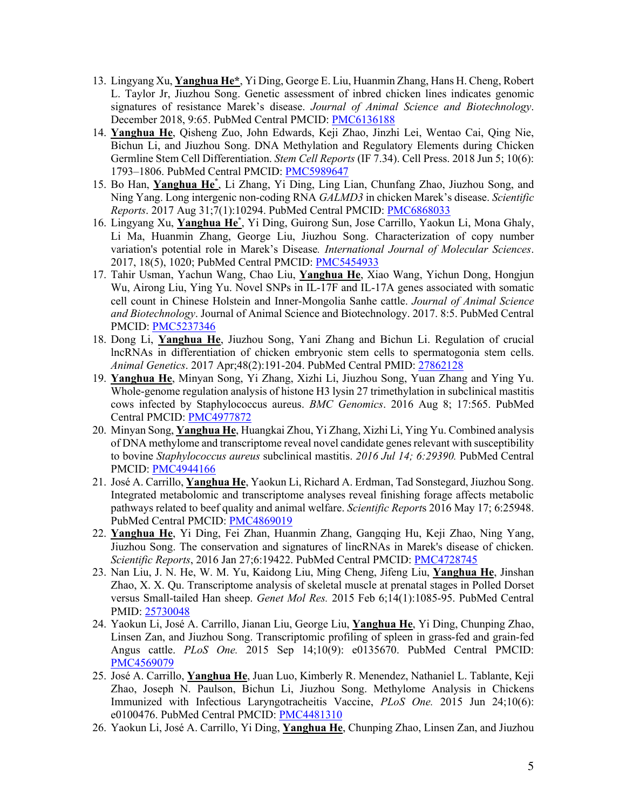- 13. Lingyang Xu, **Yanghua He\***, Yi Ding, George E. Liu, Huanmin Zhang, Hans H. Cheng, Robert L. Taylor Jr, Jiuzhou Song. Genetic assessment of inbred chicken lines indicates genomic signatures of resistance Marek's disease. *Journal of Animal Science and Biotechnology*. December 2018, 9:65. PubMed Central PMCID: PMC6136188
- 14. **Yanghua He**, Qisheng Zuo, John Edwards, Keji Zhao, Jinzhi Lei, Wentao Cai, Qing Nie, Bichun Li, and Jiuzhou Song. DNA Methylation and Regulatory Elements during Chicken Germline Stem Cell Differentiation. *Stem Cell Reports* (IF 7.34). Cell Press. 2018 Jun 5; 10(6): 1793–1806. PubMed Central PMCID: PMC5989647
- 15. Bo Han, **Yanghua He\*** , Li Zhang, Yi Ding, Ling Lian, Chunfang Zhao, Jiuzhou Song, and Ning Yang. Long intergenic non-coding RNA *GALMD3* in chicken Marek's disease. *Scientific Reports*. 2017 Aug 31;7(1):10294. PubMed Central PMCID: PMC6868033
- 16. Lingyang Xu, **Yanghua He\*** , Yi Ding, Guirong Sun, Jose Carrillo, Yaokun Li, Mona Ghaly, Li Ma, Huanmin Zhang, George Liu, Jiuzhou Song. Characterization of copy number variation's potential role in Marek's Disease*. International Journal of Molecular Sciences*. 2017, 18(5), 1020; PubMed Central PMCID: PMC5454933
- 17. Tahir Usman, Yachun Wang, Chao Liu, **Yanghua He**, Xiao Wang, Yichun Dong, Hongjun Wu, Airong Liu, Ying Yu. Novel SNPs in IL-17F and IL-17A genes associated with somatic cell count in Chinese Holstein and Inner-Mongolia Sanhe cattle. *Journal of Animal Science and Biotechnology*. Journal of Animal Science and Biotechnology. 2017. 8:5. PubMed Central PMCID: PMC5237346
- 18. Dong Li, **Yanghua He**, Jiuzhou Song, Yani Zhang and Bichun Li. Regulation of crucial lncRNAs in differentiation of chicken embryonic stem cells to spermatogonia stem cells. *Animal Genetics*. 2017 Apr;48(2):191-204. PubMed Central PMID: 27862128
- 19. **Yanghua He**, Minyan Song, Yi Zhang, Xizhi Li, Jiuzhou Song, Yuan Zhang and Ying Yu. Whole-genome regulation analysis of histone H3 lysin 27 trimethylation in subclinical mastitis cows infected by Staphylococcus aureus. *BMC Genomics*. 2016 Aug 8; 17:565. PubMed Central PMCID: PMC4977872
- 20. Minyan Song, **Yanghua He**, Huangkai Zhou, Yi Zhang, Xizhi Li, Ying Yu. Combined analysis of DNA methylome and transcriptome reveal novel candidate genes relevant with susceptibility to bovine *Staphylococcus aureus* subclinical mastitis. *2016 Jul 14; 6:29390.* PubMed Central PMCID: PMC4944166
- 21. José A. Carrillo, **Yanghua He**, Yaokun Li, Richard A. Erdman, Tad Sonstegard, Jiuzhou Song. Integrated metabolomic and transcriptome analyses reveal finishing forage affects metabolic pathways related to beef quality and animal welfare. *Scientific Report*s 2016 May 17; 6:25948. PubMed Central PMCID: PMC4869019
- 22. **Yanghua He**, Yi Ding, Fei Zhan, Huanmin Zhang, Gangqing Hu, Keji Zhao, Ning Yang, Jiuzhou Song. The conservation and signatures of lincRNAs in Marek's disease of chicken. *Scientific Reports*, 2016 Jan 27;6:19422. PubMed Central PMCID: PMC4728745
- 23. Nan Liu, J. N. He, W. M. Yu, Kaidong Liu, Ming Cheng, Jifeng Liu, **Yanghua He**, Jinshan Zhao, X. X. Qu. Transcriptome analysis of skeletal muscle at prenatal stages in Polled Dorset versus Small-tailed Han sheep. *Genet Mol Res.* 2015 Feb 6;14(1):1085-95. PubMed Central PMID: 25730048
- 24. Yaokun Li, José A. Carrillo, Jianan Liu, George Liu, **Yanghua He**, Yi Ding, Chunping Zhao, Linsen Zan, and Jiuzhou Song. Transcriptomic profiling of spleen in grass-fed and grain-fed Angus cattle. *PLoS One.* 2015 Sep 14;10(9): e0135670. PubMed Central PMCID: PMC4569079
- 25. José A. Carrillo, **Yanghua He**, Juan Luo, Kimberly R. Menendez, Nathaniel L. Tablante, Keji Zhao, Joseph N. Paulson, Bichun Li, Jiuzhou Song. Methylome Analysis in Chickens Immunized with Infectious Laryngotracheitis Vaccine, *PLoS One.* 2015 Jun 24;10(6): e0100476. PubMed Central PMCID: PMC4481310
- 26. Yaokun Li, José A. Carrillo, Yi Ding, **Yanghua He**, Chunping Zhao, Linsen Zan, and Jiuzhou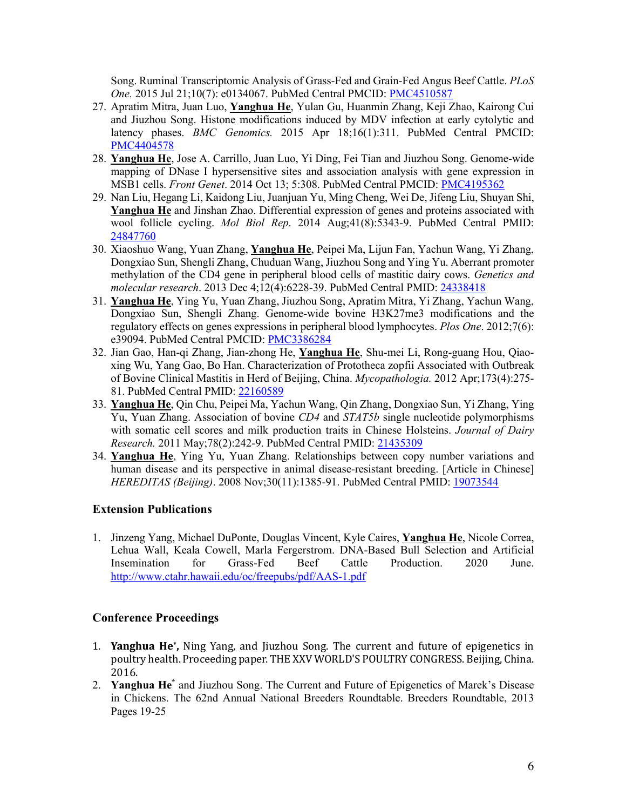Song. Ruminal Transcriptomic Analysis of Grass-Fed and Grain-Fed Angus Beef Cattle. *PLoS One.* 2015 Jul 21;10(7): e0134067. PubMed Central PMCID: PMC4510587

- 27. Apratim Mitra, Juan Luo, **Yanghua He**, Yulan Gu, Huanmin Zhang, Keji Zhao, Kairong Cui and Jiuzhou Song. Histone modifications induced by MDV infection at early cytolytic and latency phases. *BMC Genomics.* 2015 Apr 18;16(1):311. PubMed Central PMCID: PMC4404578
- 28. **Yanghua He**, Jose A. Carrillo, Juan Luo, Yi Ding, Fei Tian and Jiuzhou Song. Genome-wide mapping of DNase I hypersensitive sites and association analysis with gene expression in MSB1 cells. *Front Genet*. 2014 Oct 13; 5:308. PubMed Central PMCID: PMC4195362
- 29. Nan Liu, Hegang Li, Kaidong Liu, Juanjuan Yu, Ming Cheng, Wei De, Jifeng Liu, Shuyan Shi, **Yanghua He** and Jinshan Zhao. Differential expression of genes and proteins associated with wool follicle cycling. *Mol Biol Rep*. 2014 Aug;41(8):5343-9. PubMed Central PMID: 24847760
- 30. Xiaoshuo Wang, Yuan Zhang, **Yanghua He**, Peipei Ma, Lijun Fan, Yachun Wang, Yi Zhang, Dongxiao Sun, Shengli Zhang, Chuduan Wang, Jiuzhou Song and Ying Yu. Aberrant promoter methylation of the CD4 gene in peripheral blood cells of mastitic dairy cows. *Genetics and molecular research*. 2013 Dec 4;12(4):6228-39. PubMed Central PMID: 24338418
- 31. **Yanghua He**, Ying Yu, Yuan Zhang, Jiuzhou Song, Apratim Mitra, Yi Zhang, Yachun Wang, Dongxiao Sun, Shengli Zhang. Genome-wide bovine H3K27me3 modifications and the regulatory effects on genes expressions in peripheral blood lymphocytes. *Plos One*. 2012;7(6): e39094. PubMed Central PMCID: PMC3386284
- 32. Jian Gao, Han-qi Zhang, Jian-zhong He, **Yanghua He**, Shu-mei Li, Rong-guang Hou, Qiaoxing Wu, Yang Gao, Bo Han. Characterization of Prototheca zopfii Associated with Outbreak of Bovine Clinical Mastitis in Herd of Beijing, China. *Mycopathologia.* 2012 Apr;173(4):275- 81. PubMed Central PMID: 22160589
- 33. **Yanghua He**, Qin Chu, Peipei Ma, Yachun Wang, Qin Zhang, Dongxiao Sun, Yi Zhang, Ying Yu, Yuan Zhang. Association of bovine *CD4* and *STAT5b* single nucleotide polymorphisms with somatic cell scores and milk production traits in Chinese Holsteins. *Journal of Dairy Research.* 2011 May;78(2):242-9. PubMed Central PMID: 21435309
- 34. **Yanghua He**, Ying Yu, Yuan Zhang. Relationships between copy number variations and human disease and its perspective in animal disease-resistant breeding. [Article in Chinese] *HEREDITAS (Beijing)*. 2008 Nov;30(11):1385-91. PubMed Central PMID: 19073544

## **Extension Publications**

1. Jinzeng Yang, Michael DuPonte, Douglas Vincent, Kyle Caires, **Yanghua He**, Nicole Correa, Lehua Wall, Keala Cowell, Marla Fergerstrom. DNA-Based Bull Selection and Artificial Insemination for Grass-Fed Beef Cattle Production. 2020 June. http://www.ctahr.hawaii.edu/oc/freepubs/pdf/AAS-1.pdf

## **Conference Proceedings**

- 1. **Yanghua He\*,** Ning Yang, and Jiuzhou Song. The current and future of epigenetics in poultry health. Proceeding paper. THE XXV WORLD'S POULTRY CONGRESS. Beijing, China. 2016.
- 2. **Yanghua He\*** and Jiuzhou Song. The Current and Future of Epigenetics of Marek's Disease in Chickens. The 62nd Annual National Breeders Roundtable. Breeders Roundtable, 2013 Pages 19-25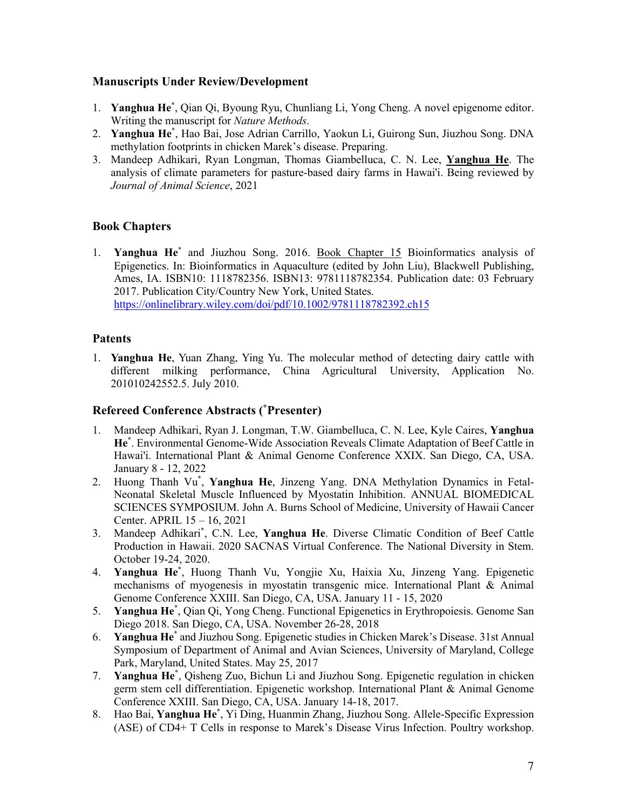## **Manuscripts Under Review/Development**

- 1. **Yanghua He\*** , Qian Qi, Byoung Ryu, Chunliang Li, Yong Cheng. A novel epigenome editor. Writing the manuscript for *Nature Methods*.
- 2. **Yanghua He\*** , Hao Bai, Jose Adrian Carrillo, Yaokun Li, Guirong Sun, Jiuzhou Song. DNA methylation footprints in chicken Marek's disease. Preparing.
- 3. Mandeep Adhikari, Ryan Longman, Thomas Giambelluca, C. N. Lee, **Yanghua He**. The analysis of climate parameters for pasture-based dairy farms in Hawai'i. Being reviewed by *Journal of Animal Science*, 2021

## **Book Chapters**

1. **Yanghua He\*** and Jiuzhou Song. 2016. Book Chapter 15 Bioinformatics analysis of Epigenetics. In: Bioinformatics in Aquaculture (edited by John Liu), Blackwell Publishing, Ames, IA. ISBN10: 1118782356. ISBN13: 9781118782354. Publication date: 03 February 2017. Publication City/Country New York, United States. https://onlinelibrary.wiley.com/doi/pdf/10.1002/9781118782392.ch15

## **Patents**

1. **Yanghua He**, Yuan Zhang, Ying Yu. The molecular method of detecting dairy cattle with different milking performance, China Agricultural University, Application No. 201010242552.5. July 2010.

## **Refereed Conference Abstracts ( \* Presenter)**

- 1. Mandeep Adhikari, Ryan J. Longman, T.W. Giambelluca, C. N. Lee, Kyle Caires, **Yanghua He\*** . Environmental Genome-Wide Association Reveals Climate Adaptation of Beef Cattle in Hawai'i. International Plant & Animal Genome Conference XXIX. San Diego, CA, USA. January 8 - 12, 2022
- 2. Huong Thanh Vu\* , **Yanghua He**, Jinzeng Yang. DNA Methylation Dynamics in Fetal-Neonatal Skeletal Muscle Influenced by Myostatin Inhibition. ANNUAL BIOMEDICAL SCIENCES SYMPOSIUM. John A. Burns School of Medicine, University of Hawaii Cancer Center. APRIL 15 – 16, 2021
- 3. Mandeep Adhikari\* , C.N. Lee, **Yanghua He**. Diverse Climatic Condition of Beef Cattle Production in Hawaii. 2020 SACNAS Virtual Conference. The National Diversity in Stem. October 19-24, 2020.
- 4. **Yanghua He\*** , Huong Thanh Vu, Yongjie Xu, Haixia Xu, Jinzeng Yang. Epigenetic mechanisms of myogenesis in myostatin transgenic mice. International Plant & Animal Genome Conference XXIII. San Diego, CA, USA. January 11 - 15, 2020
- 5. **Yanghua He\*** , Qian Qi, Yong Cheng. Functional Epigenetics in Erythropoiesis. Genome San Diego 2018. San Diego, CA, USA. November 26-28, 2018
- 6. **Yanghua He\*** and Jiuzhou Song. Epigenetic studies in Chicken Marek's Disease. 31st Annual Symposium of Department of Animal and Avian Sciences, University of Maryland, College Park, Maryland, United States. May 25, 2017
- 7. **Yanghua He\*** , Qisheng Zuo, Bichun Li and Jiuzhou Song. Epigenetic regulation in chicken germ stem cell differentiation. Epigenetic workshop. International Plant & Animal Genome Conference XXIII. San Diego, CA, USA. January 14-18, 2017.
- 8. Hao Bai, **Yanghua He\*** , Yi Ding, Huanmin Zhang, Jiuzhou Song. Allele-Specific Expression (ASE) of CD4+ T Cells in response to Marek's Disease Virus Infection. Poultry workshop.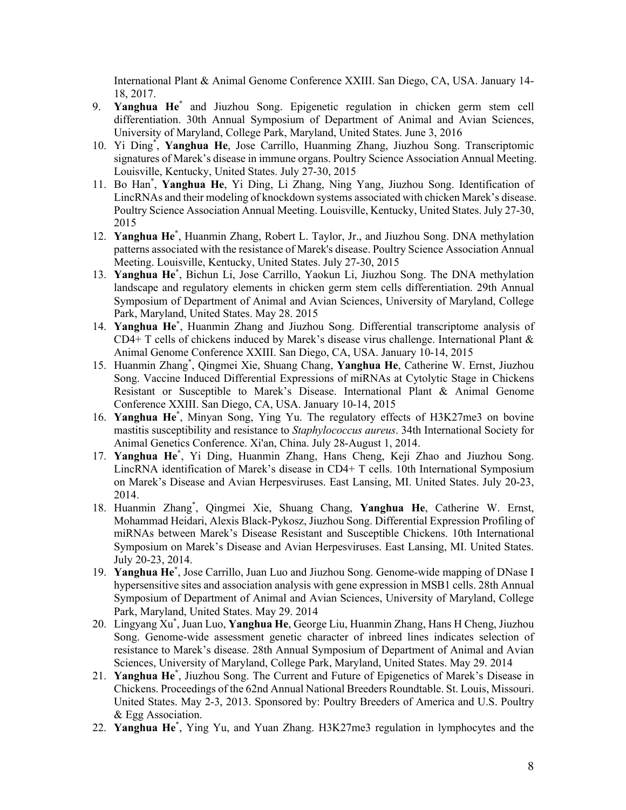International Plant & Animal Genome Conference XXIII. San Diego, CA, USA. January 14- 18, 2017.

- 9. **Yanghua He\*** and Jiuzhou Song. Epigenetic regulation in chicken germ stem cell differentiation. 30th Annual Symposium of Department of Animal and Avian Sciences, University of Maryland, College Park, Maryland, United States. June 3, 2016
- 10. Yi Ding\* , **Yanghua He**, Jose Carrillo, Huanming Zhang, Jiuzhou Song. Transcriptomic signatures of Marek's disease in immune organs. Poultry Science Association Annual Meeting. Louisville, Kentucky, United States. July 27-30, 2015
- 11. Bo Han\* , **Yanghua He**, Yi Ding, Li Zhang, Ning Yang, Jiuzhou Song. Identification of LincRNAs and their modeling of knockdown systems associated with chicken Marek's disease. Poultry Science Association Annual Meeting. Louisville, Kentucky, United States. July 27-30, 2015
- 12. **Yanghua He\*** , Huanmin Zhang, Robert L. Taylor, Jr., and Jiuzhou Song. DNA methylation patterns associated with the resistance of Marek's disease. Poultry Science Association Annual Meeting. Louisville, Kentucky, United States. July 27-30, 2015
- 13. **Yanghua He\*** , Bichun Li, Jose Carrillo, Yaokun Li, Jiuzhou Song. The DNA methylation landscape and regulatory elements in chicken germ stem cells differentiation. 29th Annual Symposium of Department of Animal and Avian Sciences, University of Maryland, College Park, Maryland, United States. May 28. 2015
- 14. **Yanghua He\*** , Huanmin Zhang and Jiuzhou Song. Differential transcriptome analysis of  $CD4+T$  cells of chickens induced by Marek's disease virus challenge. International Plant  $\&$ Animal Genome Conference XXIII. San Diego, CA, USA. January 10-14, 2015
- 15. Huanmin Zhang\* , Qingmei Xie, Shuang Chang, **Yanghua He**, Catherine W. Ernst, Jiuzhou Song. Vaccine Induced Differential Expressions of miRNAs at Cytolytic Stage in Chickens Resistant or Susceptible to Marek's Disease. International Plant & Animal Genome Conference XXIII. San Diego, CA, USA. January 10-14, 2015
- 16. **Yanghua He\*** , Minyan Song, Ying Yu. The regulatory effects of H3K27me3 on bovine mastitis susceptibility and resistance to *Staphylococcus aureus*. 34th International Society for Animal Genetics Conference. Xi'an, China. July 28-August 1, 2014.
- 17. **Yanghua He\*** , Yi Ding, Huanmin Zhang, Hans Cheng, Keji Zhao and Jiuzhou Song. LincRNA identification of Marek's disease in CD4+ T cells. 10th International Symposium on Marek's Disease and Avian Herpesviruses. East Lansing, MI. United States. July 20-23, 2014.
- 18. Huanmin Zhang\* , Qingmei Xie, Shuang Chang, **Yanghua He**, Catherine W. Ernst, Mohammad Heidari, Alexis Black-Pykosz, Jiuzhou Song. Differential Expression Profiling of miRNAs between Marek's Disease Resistant and Susceptible Chickens. 10th International Symposium on Marek's Disease and Avian Herpesviruses. East Lansing, MI. United States. July 20-23, 2014.
- 19. **Yanghua He\*** , Jose Carrillo, Juan Luo and Jiuzhou Song. Genome-wide mapping of DNase I hypersensitive sites and association analysis with gene expression in MSB1 cells. 28th Annual Symposium of Department of Animal and Avian Sciences, University of Maryland, College Park, Maryland, United States. May 29. 2014
- 20. Lingyang Xu\* , Juan Luo, **Yanghua He**, George Liu, Huanmin Zhang, Hans H Cheng, Jiuzhou Song. Genome-wide assessment genetic character of inbreed lines indicates selection of resistance to Marek's disease. 28th Annual Symposium of Department of Animal and Avian Sciences, University of Maryland, College Park, Maryland, United States. May 29. 2014
- 21. **Yanghua He\*** , Jiuzhou Song. The Current and Future of Epigenetics of Marek's Disease in Chickens. Proceedings of the 62nd Annual National Breeders Roundtable. St. Louis, Missouri. United States. May 2-3, 2013. Sponsored by: Poultry Breeders of America and U.S. Poultry & Egg Association.
- 22. **Yanghua He\*** , Ying Yu, and Yuan Zhang. H3K27me3 regulation in lymphocytes and the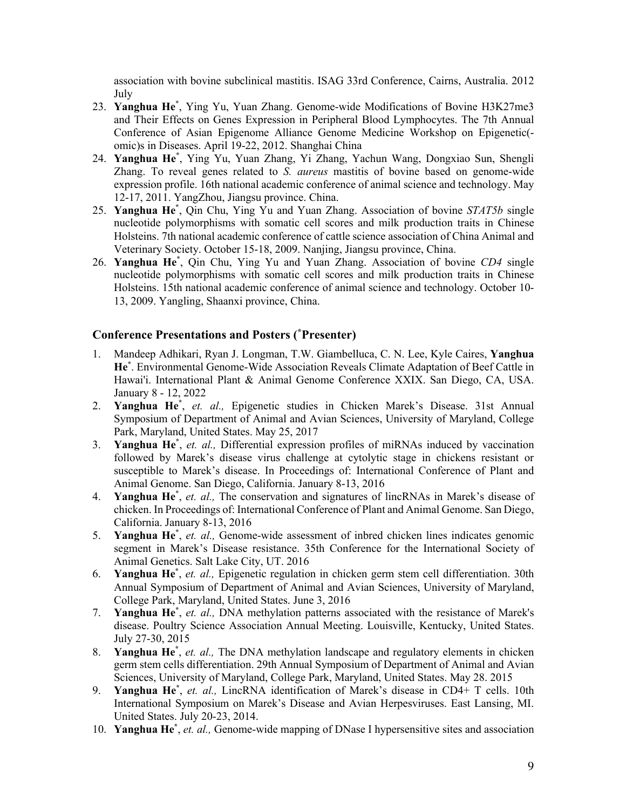association with bovine subclinical mastitis. ISAG 33rd Conference, Cairns, Australia. 2012 July

- 23. **Yanghua He\*** , Ying Yu, Yuan Zhang. Genome-wide Modifications of Bovine H3K27me3 and Their Effects on Genes Expression in Peripheral Blood Lymphocytes. The 7th Annual Conference of Asian Epigenome Alliance Genome Medicine Workshop on Epigenetic( omic)s in Diseases. April 19-22, 2012. Shanghai China
- 24. **Yanghua He\*** , Ying Yu, Yuan Zhang, Yi Zhang, Yachun Wang, Dongxiao Sun, Shengli Zhang. To reveal genes related to *S. aureus* mastitis of bovine based on genome-wide expression profile. 16th national academic conference of animal science and technology. May 12-17, 2011. YangZhou, Jiangsu province. China.
- 25. **Yanghua He\*** , Qin Chu, Ying Yu and Yuan Zhang. Association of bovine *STAT5b* single nucleotide polymorphisms with somatic cell scores and milk production traits in Chinese Holsteins. 7th national academic conference of cattle science association of China Animal and Veterinary Society. October 15-18, 2009. Nanjing, Jiangsu province, China.
- 26. **Yanghua He\*** , Qin Chu, Ying Yu and Yuan Zhang. Association of bovine *CD4* single nucleotide polymorphisms with somatic cell scores and milk production traits in Chinese Holsteins. 15th national academic conference of animal science and technology. October 10- 13, 2009. Yangling, Shaanxi province, China.

## **Conference Presentations and Posters ( \* Presenter)**

- 1. Mandeep Adhikari, Ryan J. Longman, T.W. Giambelluca, C. N. Lee, Kyle Caires, **Yanghua He\*** . Environmental Genome-Wide Association Reveals Climate Adaptation of Beef Cattle in Hawai'i. International Plant & Animal Genome Conference XXIX. San Diego, CA, USA. January 8 - 12, 2022
- 2. **Yanghua He\*** , *et. al.,* Epigenetic studies in Chicken Marek's Disease. 31st Annual Symposium of Department of Animal and Avian Sciences, University of Maryland, College Park, Maryland, United States. May 25, 2017
- 3. **Yanghua He\*** , *et. al.,* Differential expression profiles of miRNAs induced by vaccination followed by Marek's disease virus challenge at cytolytic stage in chickens resistant or susceptible to Marek's disease. In Proceedings of: International Conference of Plant and Animal Genome. San Diego, California. January 8-13, 2016
- 4. **Yanghua He\*** , *et. al.,* The conservation and signatures of lincRNAs in Marek's disease of chicken. In Proceedings of: International Conference of Plant and Animal Genome. San Diego, California. January 8-13, 2016
- 5. **Yanghua He\*** , *et. al.,* Genome-wide assessment of inbred chicken lines indicates genomic segment in Marek's Disease resistance. 35th Conference for the International Society of Animal Genetics. Salt Lake City, UT. 2016
- 6. **Yanghua He\*** , *et. al.,* Epigenetic regulation in chicken germ stem cell differentiation. 30th Annual Symposium of Department of Animal and Avian Sciences, University of Maryland, College Park, Maryland, United States. June 3, 2016
- 7. **Yanghua He\*** , *et. al.,* DNA methylation patterns associated with the resistance of Marek's disease. Poultry Science Association Annual Meeting. Louisville, Kentucky, United States. July 27-30, 2015
- 8. **Yanghua He\*** , *et. al.,* The DNA methylation landscape and regulatory elements in chicken germ stem cells differentiation. 29th Annual Symposium of Department of Animal and Avian Sciences, University of Maryland, College Park, Maryland, United States. May 28. 2015
- 9. **Yanghua He\*** , *et. al.,* LincRNA identification of Marek's disease in CD4+ T cells. 10th International Symposium on Marek's Disease and Avian Herpesviruses. East Lansing, MI. United States. July 20-23, 2014.
- 10. **Yanghua He\*** , *et. al.,* Genome-wide mapping of DNase I hypersensitive sites and association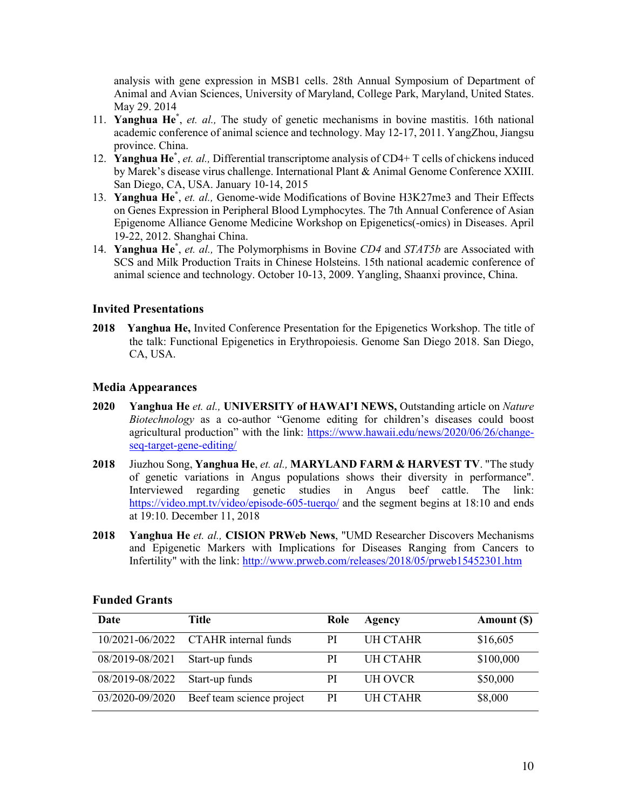analysis with gene expression in MSB1 cells. 28th Annual Symposium of Department of Animal and Avian Sciences, University of Maryland, College Park, Maryland, United States. May 29. 2014

- 11. **Yanghua He\*** , *et. al.,* The study of genetic mechanisms in bovine mastitis. 16th national academic conference of animal science and technology. May 12-17, 2011. YangZhou, Jiangsu province. China.
- 12. **Yanghua He**<sup>\*</sup>, *et. al.*, Differential transcriptome analysis of CD4+ T cells of chickens induced by Marek's disease virus challenge. International Plant & Animal Genome Conference XXIII. San Diego, CA, USA. January 10-14, 2015
- 13. **Yanghua He\*** , *et. al.,* Genome-wide Modifications of Bovine H3K27me3 and Their Effects on Genes Expression in Peripheral Blood Lymphocytes. The 7th Annual Conference of Asian Epigenome Alliance Genome Medicine Workshop on Epigenetics(-omics) in Diseases. April 19-22, 2012. Shanghai China.
- 14. **Yanghua He\*** , *et. al.,* The Polymorphisms in Bovine *CD4* and *STAT5b* are Associated with SCS and Milk Production Traits in Chinese Holsteins. 15th national academic conference of animal science and technology. October 10-13, 2009. Yangling, Shaanxi province, China.

## **Invited Presentations**

**2018 Yanghua He,** Invited Conference Presentation for the Epigenetics Workshop. The title of the talk: Functional Epigenetics in Erythropoiesis. Genome San Diego 2018. San Diego, CA, USA.

### **Media Appearances**

- **2020 Yanghua He** *et. al.,* **UNIVERSITY of HAWAI'I NEWS,** Outstanding article on *Nature Biotechnology* as a co-author "Genome editing for children's diseases could boost agricultural production" with the link: https://www.hawaii.edu/news/2020/06/26/changeseq-target-gene-editing/
- **2018** Jiuzhou Song, **Yanghua He**, *et. al.,* **MARYLAND FARM & HARVEST TV**. "The study of genetic variations in Angus populations shows their diversity in performance". Interviewed regarding genetic studies in Angus beef cattle. The link: https://video.mpt.tv/video/episode-605-tuerqo/ and the segment begins at 18:10 and ends at 19:10. December 11, 2018
- **2018 Yanghua He** *et. al.,* **CISION PRWeb News**, "UMD Researcher Discovers Mechanisms and Epigenetic Markers with Implications for Diseases Ranging from Cancers to Infertility" with the link: http://www.prweb.com/releases/2018/05/prweb15452301.htm

| Date            | Title                                | Role          | Agency   | Amount (\$) |
|-----------------|--------------------------------------|---------------|----------|-------------|
|                 | 10/2021-06/2022 CTAHR internal funds | РI            | UH CTAHR | \$16,605    |
| 08/2019-08/2021 | Start-up funds                       | РI            | UH CTAHR | \$100,000   |
| 08/2019-08/2022 | Start-up funds                       | PI            | UH OVCR  | \$50,000    |
| 03/2020-09/2020 | Beef team science project            | <sub>PI</sub> | UH CTAHR | \$8,000     |

#### **Funded Grants**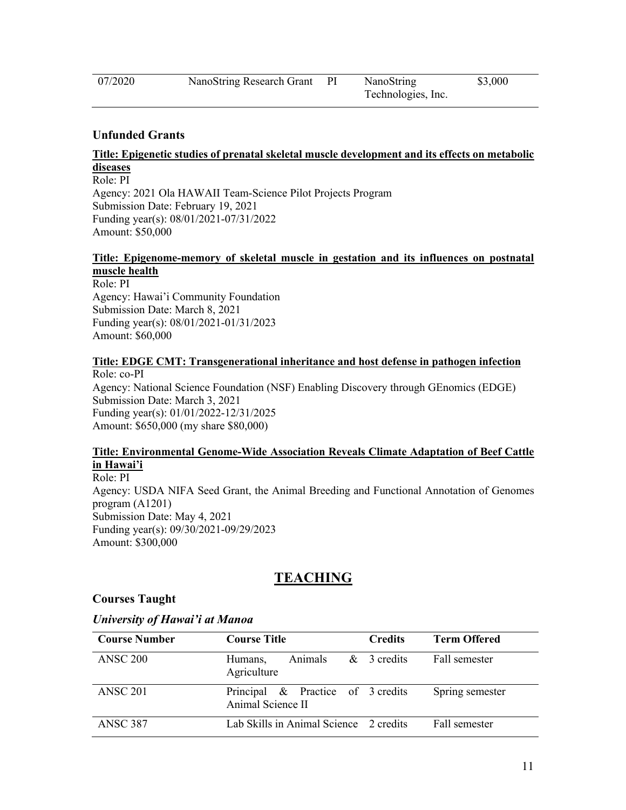| , | 2029 |
|---|------|
|   |      |

## **Unfunded Grants**

#### **Title: Epigenetic studies of prenatal skeletal muscle development and its effects on metabolic diseases**

Role: PI Agency: 2021 Ola HAWAII Team-Science Pilot Projects Program Submission Date: February 19, 2021 Funding year(s): 08/01/2021-07/31/2022 Amount: \$50,000

#### **Title: Epigenome-memory of skeletal muscle in gestation and its influences on postnatal muscle health**

Role: PI Agency: Hawai'i Community Foundation Submission Date: March 8, 2021 Funding year(s): 08/01/2021-01/31/2023 Amount: \$60,000

#### **Title: EDGE CMT: Transgenerational inheritance and host defense in pathogen infection**

Role: co-PI Agency: National Science Foundation (NSF) Enabling Discovery through GEnomics (EDGE) Submission Date: March 3, 2021 Funding year(s): 01/01/2022-12/31/2025 Amount: \$650,000 (my share \$80,000)

#### **Title: Environmental Genome-Wide Association Reveals Climate Adaptation of Beef Cattle in Hawai'i**

Role: PI Agency: USDA NIFA Seed Grant, the Animal Breeding and Functional Annotation of Genomes program (A1201) Submission Date: May 4, 2021 Funding year(s): 09/30/2021-09/29/2023 Amount: \$300,000

# **TEACHING**

## **Courses Taught**

## *University of Hawai'i at Manoa*

| <b>Course Number</b> | <b>Course Title</b>                                    | <b>Credits</b> | <b>Term Offered</b> |
|----------------------|--------------------------------------------------------|----------------|---------------------|
| <b>ANSC 200</b>      | Animals & 3 credits<br>Humans,<br>Agriculture          |                | Fall semester       |
| ANSC <sub>201</sub>  | Principal & Practice of 3 credits<br>Animal Science II |                | Spring semester     |
| <b>ANSC 387</b>      | Lab Skills in Animal Science 2 credits                 |                | Fall semester       |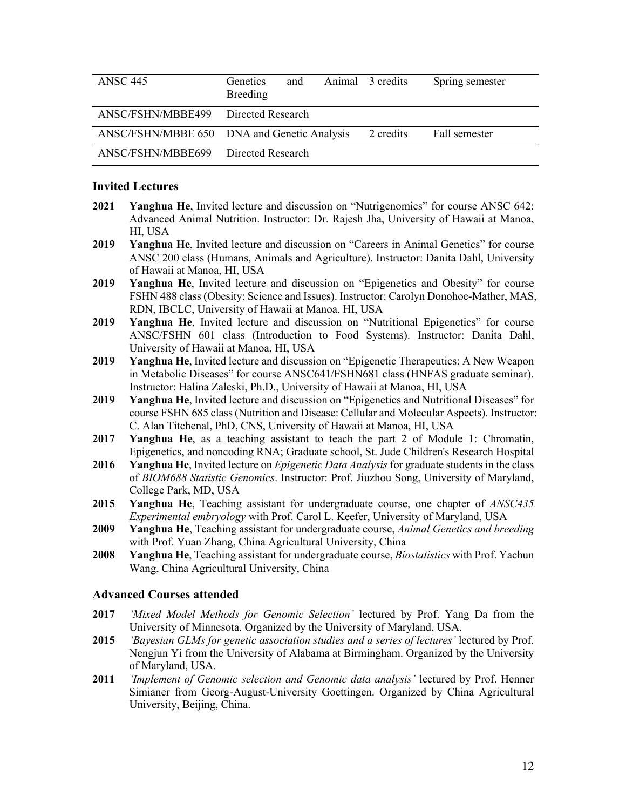| <b>ANSC 445</b>                     | <b>Genetics</b><br>Breeding                 | and |           | Animal 3 credits | Spring semester |
|-------------------------------------|---------------------------------------------|-----|-----------|------------------|-----------------|
| ANSC/FSHN/MBBE499 Directed Research |                                             |     |           |                  |                 |
|                                     | ANSC/FSHN/MBBE 650 DNA and Genetic Analysis |     | 2 credits | Fall semester    |                 |
| ANSC/FSHN/MBBE699                   | Directed Research                           |     |           |                  |                 |

### **Invited Lectures**

- **2021 Yanghua He**, Invited lecture and discussion on "Nutrigenomics" for course ANSC 642: Advanced Animal Nutrition. Instructor: Dr. Rajesh Jha, University of Hawaii at Manoa, HI, USA
- **2019 Yanghua He**, Invited lecture and discussion on "Careers in Animal Genetics" for course ANSC 200 class (Humans, Animals and Agriculture). Instructor: Danita Dahl, University of Hawaii at Manoa, HI, USA
- **2019 Yanghua He**, Invited lecture and discussion on "Epigenetics and Obesity" for course FSHN 488 class (Obesity: Science and Issues). Instructor: Carolyn Donohoe-Mather, MAS, RDN, IBCLC, University of Hawaii at Manoa, HI, USA
- **2019 Yanghua He**, Invited lecture and discussion on "Nutritional Epigenetics" for course ANSC/FSHN 601 class (Introduction to Food Systems). Instructor: Danita Dahl, University of Hawaii at Manoa, HI, USA
- **2019 Yanghua He**, Invited lecture and discussion on "Epigenetic Therapeutics: A New Weapon in Metabolic Diseases" for course ANSC641/FSHN681 class (HNFAS graduate seminar). Instructor: Halina Zaleski, Ph.D., University of Hawaii at Manoa, HI, USA
- **2019 Yanghua He**, Invited lecture and discussion on "Epigenetics and Nutritional Diseases" for course FSHN 685 class (Nutrition and Disease: Cellular and Molecular Aspects). Instructor: C. Alan Titchenal, PhD, CNS, University of Hawaii at Manoa, HI, USA
- **2017 Yanghua He**, as a teaching assistant to teach the part 2 of Module 1: Chromatin, Epigenetics, and noncoding RNA; Graduate school, St. Jude Children's Research Hospital
- **2016 Yanghua He**, Invited lecture on *Epigenetic Data Analysis*for graduate students in the class of *BIOM688 Statistic Genomics*. Instructor: Prof. Jiuzhou Song, University of Maryland, College Park, MD, USA
- **2015 Yanghua He**, Teaching assistant for undergraduate course, one chapter of *ANSC435 Experimental embryology* with Prof. Carol L. Keefer, University of Maryland, USA
- **2009 Yanghua He**, Teaching assistant for undergraduate course, *Animal Genetics and breeding* with Prof. Yuan Zhang, China Agricultural University, China
- **2008 Yanghua He**, Teaching assistant for undergraduate course, *Biostatistics* with Prof. Yachun Wang, China Agricultural University, China

#### **Advanced Courses attended**

- **2017** *'Mixed Model Methods for Genomic Selection'* lectured by Prof. Yang Da from the University of Minnesota. Organized by the University of Maryland, USA.
- **2015** *'Bayesian GLMs for genetic association studies and a series of lectures'* lectured by Prof. Nengjun Yi from the University of Alabama at Birmingham. Organized by the University of Maryland, USA.
- **2011** *'Implement of Genomic selection and Genomic data analysis'* lectured by Prof. Henner Simianer from Georg-August-University Goettingen. Organized by China Agricultural University, Beijing, China.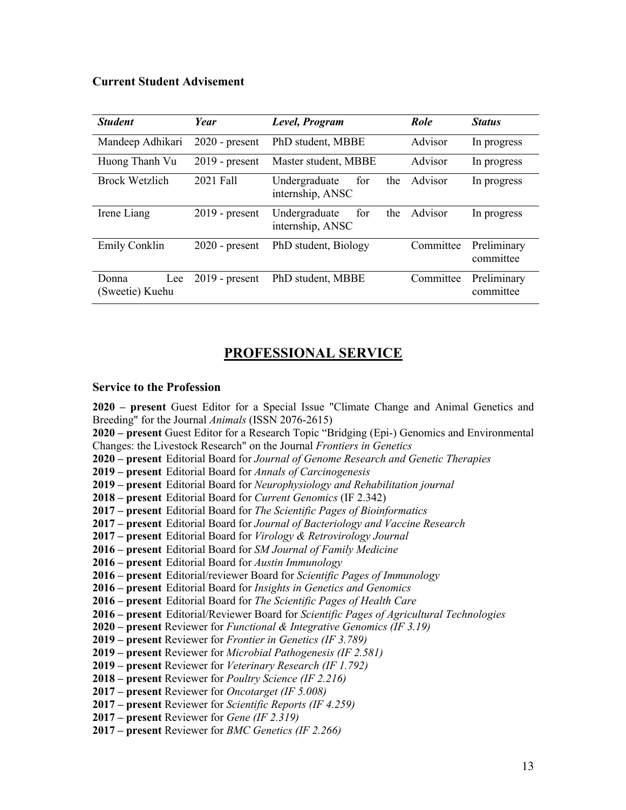## **Current Student Advisement**

| <b>Student</b>           | Year                 | Level, Program                                  | Role      | <b>Status</b>            |
|--------------------------|----------------------|-------------------------------------------------|-----------|--------------------------|
| Mandeep Adhikari         | $2020$ - present     | PhD student, MBBE                               | Advisor   | In progress              |
| Huong Thanh Vu           | $2019$ - present     | Master student, MBBE                            | Advisor   | In progress              |
| <b>Brock Wetzlich</b>    | 2021 Fall            | Undergraduate<br>the<br>for<br>internship, ANSC | Advisor   | In progress              |
| Irene Liang              | $2019$ - present     | the<br>Undergraduate<br>for<br>internship, ANSC | Advisor   | In progress              |
| <b>Emily Conklin</b>     | $2020$ - present     | PhD student, Biology                            | Committee | Preliminary<br>committee |
| Donna<br>(Sweetie) Kuehu | Lee $2019$ - present | PhD student, MBBE                               | Committee | Preliminary<br>committee |

# **PROFESSIONAL SERVICE**

#### **Service to the Profession**

 **– present** Guest Editor for a Special Issue "Climate Change and Animal Genetics and Breeding" for the Journal *Animals* (ISSN 2076-2615) **– present** Guest Editor for a Research Topic "Bridging (Epi-) Genomics and Environmental Changes: the Livestock Research" on the Journal *Frontiers in Genetics* **– present** Editorial Board for *Journal of Genome Research and Genetic Therapies* **– present** Editorial Board for *Annals of Carcinogenesis* **– present** Editorial Board for *Neurophysiology and Rehabilitation journal* **– present** Editorial Board for *Current Genomics* (IF 2.342) **2017 – present** Editorial Board for *The Scientific Pages of Bioinformatics* **2017 – present** Editorial Board for *Journal of Bacteriology and Vaccine Research* **2017 – present** Editorial Board for *Virology & Retrovirology Journal* **– present** Editorial Board for *SM Journal of Family Medicine* **– present** Editorial Board for *Austin Immunology* **– present** Editorial/reviewer Board for *Scientific Pages of Immunology* **– present** Editorial Board for *Insights in Genetics and Genomics* **2016 – present** Editorial Board for *The Scientific Pages of Health Care* **– present** Editorial/Reviewer Board for *Scientific Pages of Agricultural Technologies* **– present** Reviewer for *Functional & Integrative Genomics (IF 3.19)* **– present** Reviewer for *Frontier in Genetics (IF 3.789)* **– present** Reviewer for *Microbial Pathogenesis (IF 2.581)* **– present** Reviewer for *Veterinary Research (IF 1.792)* **– present** Reviewer for *Poultry Science (IF 2.216)* **2017 – present** Reviewer for *Oncotarget (IF 5.008)* **2017 – present** Reviewer for *Scientific Reports (IF 4.259)* **– present** Reviewer for *Gene (IF 2.319)*

**2017 – present** Reviewer for *BMC Genetics (IF 2.266)*